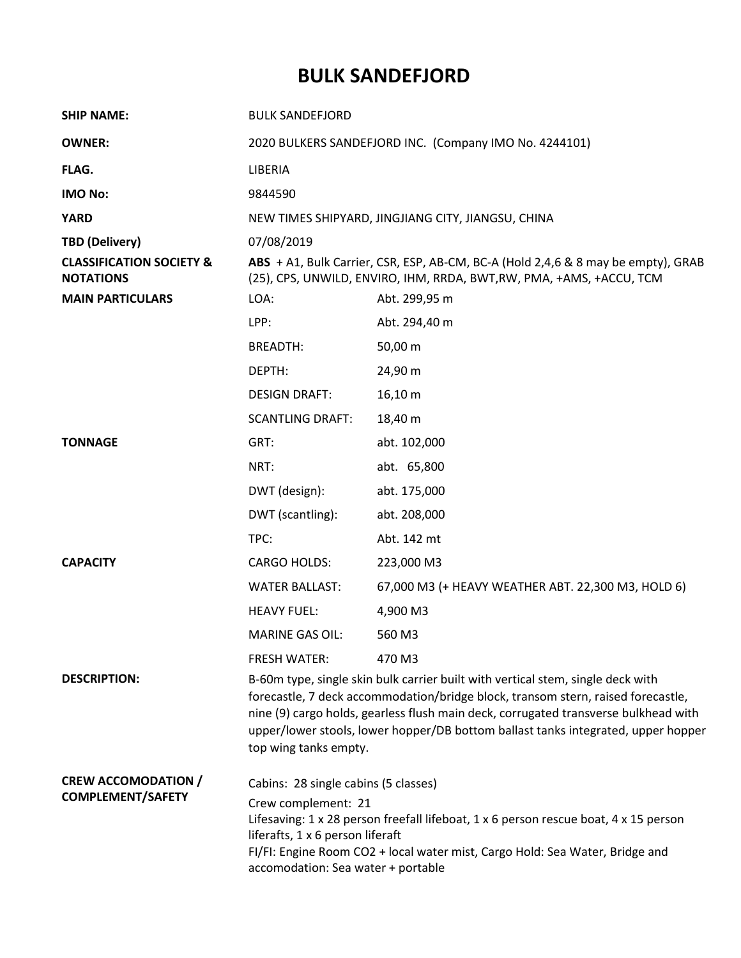## **BULK SANDEFJORD**

| <b>SHIP NAME:</b>                                       | <b>BULK SANDEFJORD</b>                                                                                                                                                                                                                                                                                                                                                   |                                                    |  |
|---------------------------------------------------------|--------------------------------------------------------------------------------------------------------------------------------------------------------------------------------------------------------------------------------------------------------------------------------------------------------------------------------------------------------------------------|----------------------------------------------------|--|
| <b>OWNER:</b>                                           | 2020 BULKERS SANDEFJORD INC. (Company IMO No. 4244101)                                                                                                                                                                                                                                                                                                                   |                                                    |  |
| FLAG.                                                   | LIBERIA                                                                                                                                                                                                                                                                                                                                                                  |                                                    |  |
| <b>IMO No:</b>                                          | 9844590                                                                                                                                                                                                                                                                                                                                                                  |                                                    |  |
| <b>YARD</b>                                             | NEW TIMES SHIPYARD, JINGJIANG CITY, JIANGSU, CHINA                                                                                                                                                                                                                                                                                                                       |                                                    |  |
| <b>TBD (Delivery)</b>                                   | 07/08/2019                                                                                                                                                                                                                                                                                                                                                               |                                                    |  |
| <b>CLASSIFICATION SOCIETY &amp;</b><br><b>NOTATIONS</b> | ABS + A1, Bulk Carrier, CSR, ESP, AB-CM, BC-A (Hold 2,4,6 & 8 may be empty), GRAB<br>(25), CPS, UNWILD, ENVIRO, IHM, RRDA, BWT, RW, PMA, +AMS, +ACCU, TCM                                                                                                                                                                                                                |                                                    |  |
| <b>MAIN PARTICULARS</b>                                 | LOA:                                                                                                                                                                                                                                                                                                                                                                     | Abt. 299,95 m                                      |  |
|                                                         | LPP:                                                                                                                                                                                                                                                                                                                                                                     | Abt. 294,40 m                                      |  |
|                                                         | <b>BREADTH:</b>                                                                                                                                                                                                                                                                                                                                                          | 50,00 m                                            |  |
|                                                         | DEPTH:                                                                                                                                                                                                                                                                                                                                                                   | 24,90 m                                            |  |
|                                                         | <b>DESIGN DRAFT:</b>                                                                                                                                                                                                                                                                                                                                                     | 16,10 m                                            |  |
|                                                         | <b>SCANTLING DRAFT:</b>                                                                                                                                                                                                                                                                                                                                                  | 18,40 m                                            |  |
| <b>TONNAGE</b>                                          | GRT:                                                                                                                                                                                                                                                                                                                                                                     | abt. 102,000                                       |  |
|                                                         | NRT:                                                                                                                                                                                                                                                                                                                                                                     | abt. 65,800                                        |  |
|                                                         | DWT (design):                                                                                                                                                                                                                                                                                                                                                            | abt. 175,000                                       |  |
|                                                         | DWT (scantling):                                                                                                                                                                                                                                                                                                                                                         | abt. 208,000                                       |  |
|                                                         | TPC:                                                                                                                                                                                                                                                                                                                                                                     | Abt. 142 mt                                        |  |
| <b>CAPACITY</b>                                         | <b>CARGO HOLDS:</b>                                                                                                                                                                                                                                                                                                                                                      | 223,000 M3                                         |  |
|                                                         | <b>WATER BALLAST:</b>                                                                                                                                                                                                                                                                                                                                                    | 67,000 M3 (+ HEAVY WEATHER ABT. 22,300 M3, HOLD 6) |  |
|                                                         | <b>HEAVY FUEL:</b>                                                                                                                                                                                                                                                                                                                                                       | 4,900 M3                                           |  |
|                                                         | <b>MARINE GAS OIL:</b>                                                                                                                                                                                                                                                                                                                                                   | 560 M3                                             |  |
|                                                         | <b>FRESH WATER:</b>                                                                                                                                                                                                                                                                                                                                                      | 470 M3                                             |  |
| <b>DESCRIPTION:</b>                                     | B-60m type, single skin bulk carrier built with vertical stem, single deck with<br>forecastle, 7 deck accommodation/bridge block, transom stern, raised forecastle,<br>nine (9) cargo holds, gearless flush main deck, corrugated transverse bulkhead with<br>upper/lower stools, lower hopper/DB bottom ballast tanks integrated, upper hopper<br>top wing tanks empty. |                                                    |  |
| <b>CREW ACCOMODATION /</b><br><b>COMPLEMENT/SAFETY</b>  | Cabins: 28 single cabins (5 classes)<br>Crew complement: 21<br>Lifesaving: 1 x 28 person freefall lifeboat, 1 x 6 person rescue boat, 4 x 15 person<br>liferafts, 1 x 6 person liferaft<br>FI/FI: Engine Room CO2 + local water mist, Cargo Hold: Sea Water, Bridge and<br>accomodation: Sea water + portable                                                            |                                                    |  |